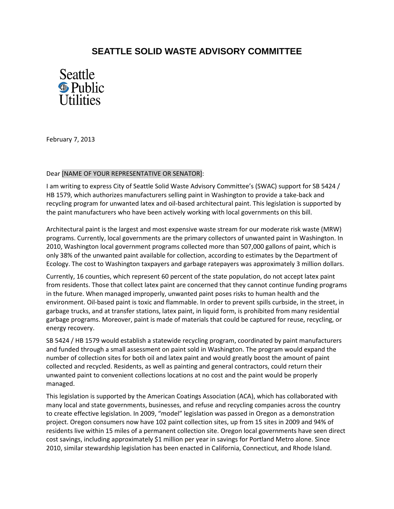## **SEATTLE SOLID WASTE ADVISORY COMMITTEE**



February 7, 2013

## Dear [NAME OF YOUR REPRESENTATIVE OR SENATOR]:

I am writing to express City of Seattle Solid Waste Advisory Committee's (SWAC) support for SB 5424 / HB 1579, which authorizes manufacturers selling paint in Washington to provide a take-back and recycling program for unwanted latex and oil-based architectural paint. This legislation is supported by the paint manufacturers who have been actively working with local governments on this bill.

Architectural paint is the largest and most expensive waste stream for our moderate risk waste (MRW) programs. Currently, local governments are the primary collectors of unwanted paint in Washington. In 2010, Washington local government programs collected more than 507,000 gallons of paint, which is only 38% of the unwanted paint available for collection, according to estimates by the Department of Ecology. The cost to Washington taxpayers and garbage ratepayers was approximately 3 million dollars.

Currently, 16 counties, which represent 60 percent of the state population, do not accept latex paint from residents. Those that collect latex paint are concerned that they cannot continue funding programs in the future. When managed improperly, unwanted paint poses risks to human health and the environment. Oil-based paint is toxic and flammable. In order to prevent spills curbside, in the street, in garbage trucks, and at transfer stations, latex paint, in liquid form, is prohibited from many residential garbage programs. Moreover, paint is made of materials that could be captured for reuse, recycling, or energy recovery.

SB 5424 / HB 1579 would establish a statewide recycling program, coordinated by paint manufacturers and funded through a small assessment on paint sold in Washington. The program would expand the number of collection sites for both oil and latex paint and would greatly boost the amount of paint collected and recycled. Residents, as well as painting and general contractors, could return their unwanted paint to convenient collections locations at no cost and the paint would be properly managed.

This legislation is supported by the American Coatings Association (ACA), which has collaborated with many local and state governments, businesses, and refuse and recycling companies across the country to create effective legislation. In 2009, "model" legislation was passed in Oregon as a demonstration project. Oregon consumers now have 102 paint collection sites, up from 15 sites in 2009 and 94% of residents live within 15 miles of a permanent collection site. Oregon local governments have seen direct cost savings, including approximately \$1 million per year in savings for Portland Metro alone. Since 2010, similar stewardship legislation has been enacted in California, Connecticut, and Rhode Island.